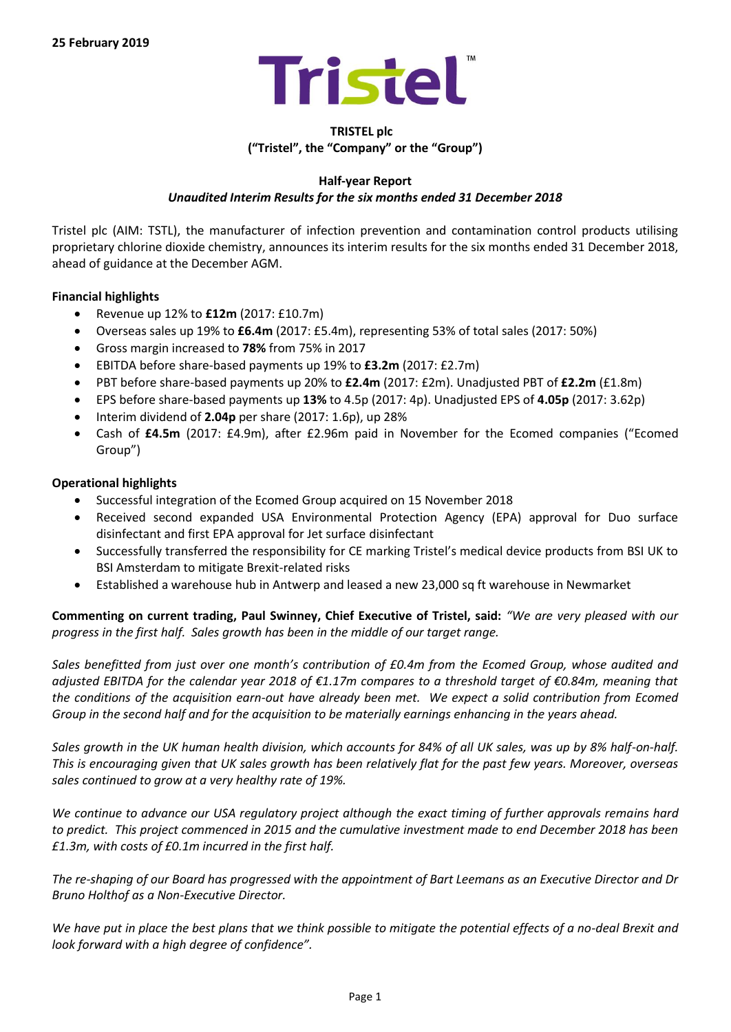

# **TRISTEL plc ("Tristel", the "Company" or the "Group")**

# **Half-year Report**

# *Unaudited Interim Results for the six months ended 31 December 2018*

Tristel plc (AIM: TSTL), the manufacturer of infection prevention and contamination control products utilising proprietary chlorine dioxide chemistry, announces its interim results for the six months ended 31 December 2018, ahead of guidance at the December AGM.

# **Financial highlights**

- x Revenue up 12% to **£12m** (2017: £10.7m)
- x Overseas sales up 19% to **£6.4m** (2017: £5.4m), representing 53% of total sales (2017: 50%)
- x Gross margin increased to **78%** from 75% in 2017
- x EBITDA before share-based payments up 19% to **£3.2m** (2017: £2.7m)
- x PBT before share-based payments up 20% to **£2.4m** (2017: £2m). Unadjusted PBT of **£2.2m** (£1.8m)
- x EPS before share-based payments up **13%** to 4.5p (2017: 4p). Unadjusted EPS of **4.05p** (2017: 3.62p)
- x Interim dividend of **2.04p** per share (2017: 1.6p), up 28%
- x Cash of **£4.5m** (2017: £4.9m), after £2.96m paid in November for the Ecomed companies ("Ecomed Group")

# **Operational highlights**

- Successful integration of the Ecomed Group acquired on 15 November 2018
- x Received second expanded USA Environmental Protection Agency (EPA) approval for Duo surface disinfectant and first EPA approval for Jet surface disinfectant
- x Successfully transferred the responsibility for CE marking Tristel's medical device products from BSI UK to BSI Amsterdam to mitigate Brexit-related risks
- x Established a warehouse hub in Antwerp and leased a new 23,000 sq ft warehouse in Newmarket

**Commenting on current trading, Paul Swinney, Chief Executive of Tristel, said:** *"We are very pleased with our progress in the first half. Sales growth has been in the middle of our target range.* 

*Sales benefitted from just over one month's contribution of £0.4m from the Ecomed Group, whose audited and adjusted EBITDA for the calendar year 2018 of €1.17m compares to a threshold target of €0.84m, meaning that the conditions of the acquisition earn-out have already been met. We expect a solid contribution from Ecomed Group in the second half and for the acquisition to be materially earnings enhancing in the years ahead.* 

*Sales growth in the UK human health division, which accounts for 84% of all UK sales, was up by 8% half-on-half. This is encouraging given that UK sales growth has been relatively flat for the past few years. Moreover, overseas sales continued to grow at a very healthy rate of 19%.*

*We continue to advance our USA regulatory project although the exact timing of further approvals remains hard to predict. This project commenced in 2015 and the cumulative investment made to end December 2018 has been £1.3m, with costs of £0.1m incurred in the first half.* 

*The re-shaping of our Board has progressed with the appointment of Bart Leemans as an Executive Director and Dr Bruno Holthof as a Non-Executive Director.* 

*We have put in place the best plans that we think possible to mitigate the potential effects of a no-deal Brexit and look forward with a high degree of confidence".*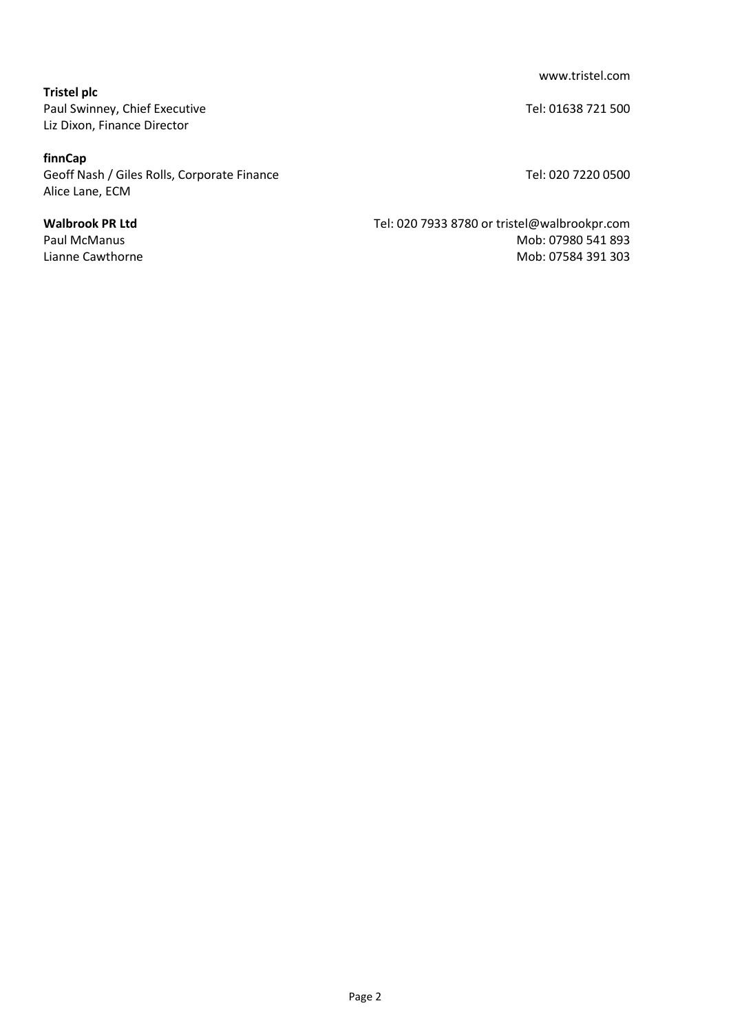www.tristel.com

**Tristel plc** Paul Swinney, Chief Executive Tel: 01638 721 500 Liz Dixon, Finance Director

## **finnCap**

Geoff Nash / Giles Rolls, Corporate Finance Tel: 020 7220 0500 Alice Lane, ECM

**Walbrook PR Ltd** Tel: 020 7933 8780 or tristel@walbrookpr.com Paul McManus **Mob: 07980 541 893**<br>Lianne Cawthorne Mob: 07584 391 303 Mob: 07584 391 303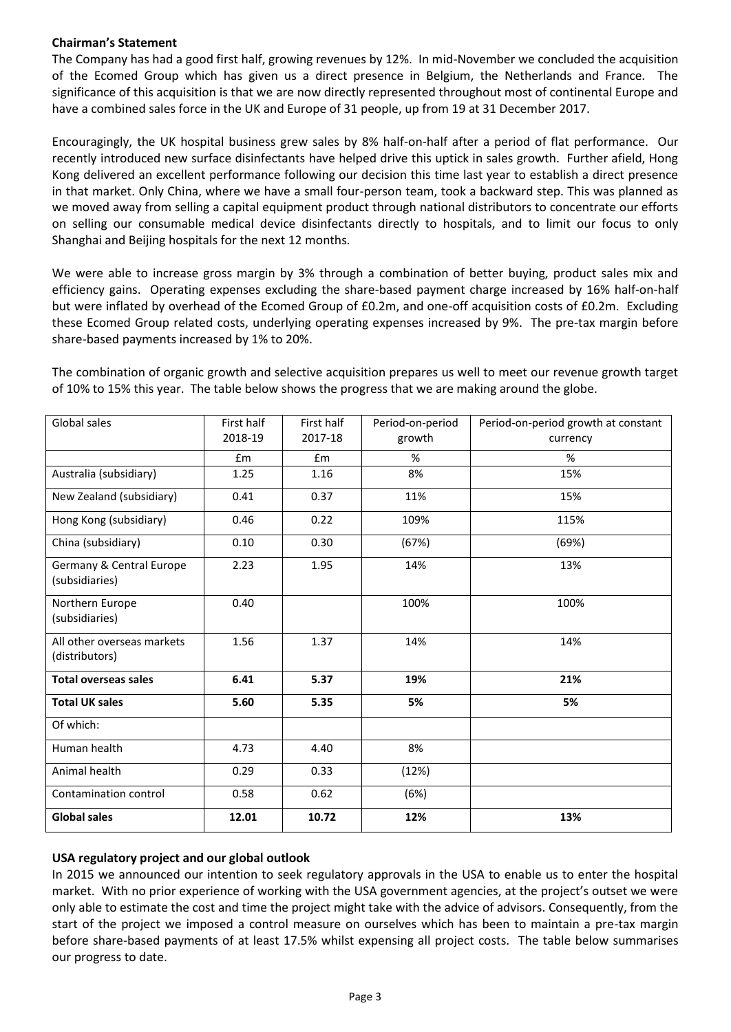# **Chairman's Statement**

The Company has had a good first half, growing revenues by 12%. In mid-November we concluded the acquisition of the Ecomed Group which has given us a direct presence in Belgium, the Netherlands and France. The significance of this acquisition is that we are now directly represented throughout most of continental Europe and have a combined sales force in the UK and Europe of 31 people, up from 19 at 31 December 2017.

Encouragingly, the UK hospital business grew sales by 8% half-on-half after a period of flat performance. Our recently introduced new surface disinfectants have helped drive this uptick in sales growth. Further afield, Hong Kong delivered an excellent performance following our decision this time last year to establish a direct presence in that market. Only China, where we have a small four-person team, took a backward step. This was planned as we moved away from selling a capital equipment product through national distributors to concentrate our efforts on selling our consumable medical device disinfectants directly to hospitals, and to limit our focus to only Shanghai and Beijing hospitals for the next 12 months.

We were able to increase gross margin by 3% through a combination of better buying, product sales mix and efficiency gains. Operating expenses excluding the share-based payment charge increased by 16% half-on-half but were inflated by overhead of the Ecomed Group of £0.2m, and one-off acquisition costs of £0.2m. Excluding these Ecomed Group related costs, underlying operating expenses increased by 9%. The pre-tax margin before share-based payments increased by 1% to 20%.

The combination of organic growth and selective acquisition prepares us well to meet our revenue growth target of 10% to 15% this year. The table below shows the progress that we are making around the globe.

| Global sales                                 | First half<br>2018-19 | First half<br>2017-18 | Period-on-period<br>growth | Period-on-period growth at constant<br>currency |
|----------------------------------------------|-----------------------|-----------------------|----------------------------|-------------------------------------------------|
|                                              | £m                    | Em                    | %                          | %                                               |
| Australia (subsidiary)                       | 1.25                  | 1.16                  | 8%                         | 15%                                             |
| New Zealand (subsidiary)                     | 0.41                  | 0.37                  | 11%                        | 15%                                             |
| Hong Kong (subsidiary)                       | 0.46                  | 0.22                  | 109%                       | 115%                                            |
| China (subsidiary)                           | 0.10                  | 0.30                  | (67%)                      | (69%)                                           |
| Germany & Central Europe<br>(subsidiaries)   | 2.23                  | 1.95                  | 14%                        | 13%                                             |
| Northern Europe<br>(subsidiaries)            | 0.40                  |                       | 100%                       | 100%                                            |
| All other overseas markets<br>(distributors) | 1.56                  | 1.37                  | 14%                        | 14%                                             |
| <b>Total overseas sales</b>                  | 6.41                  | 5.37                  | 19%                        | 21%                                             |
| <b>Total UK sales</b>                        | 5.60                  | 5.35                  | 5%                         | 5%                                              |
| Of which:                                    |                       |                       |                            |                                                 |
| Human health                                 | 4.73                  | 4.40                  | 8%                         |                                                 |
| Animal health                                | 0.29                  | 0.33                  | (12%)                      |                                                 |
| Contamination control                        | 0.58                  | 0.62                  | (6%)                       |                                                 |
| <b>Global sales</b>                          | 12.01                 | 10.72                 | 12%                        | 13%                                             |

# **USA regulatory project and our global outlook**

In 2015 we announced our intention to seek regulatory approvals in the USA to enable us to enter the hospital market. With no prior experience of working with the USA government agencies, at the project's outset we were only able to estimate the cost and time the project might take with the advice of advisors. Consequently, from the start of the project we imposed a control measure on ourselves which has been to maintain a pre-tax margin before share-based payments of at least 17.5% whilst expensing all project costs. The table below summarises our progress to date.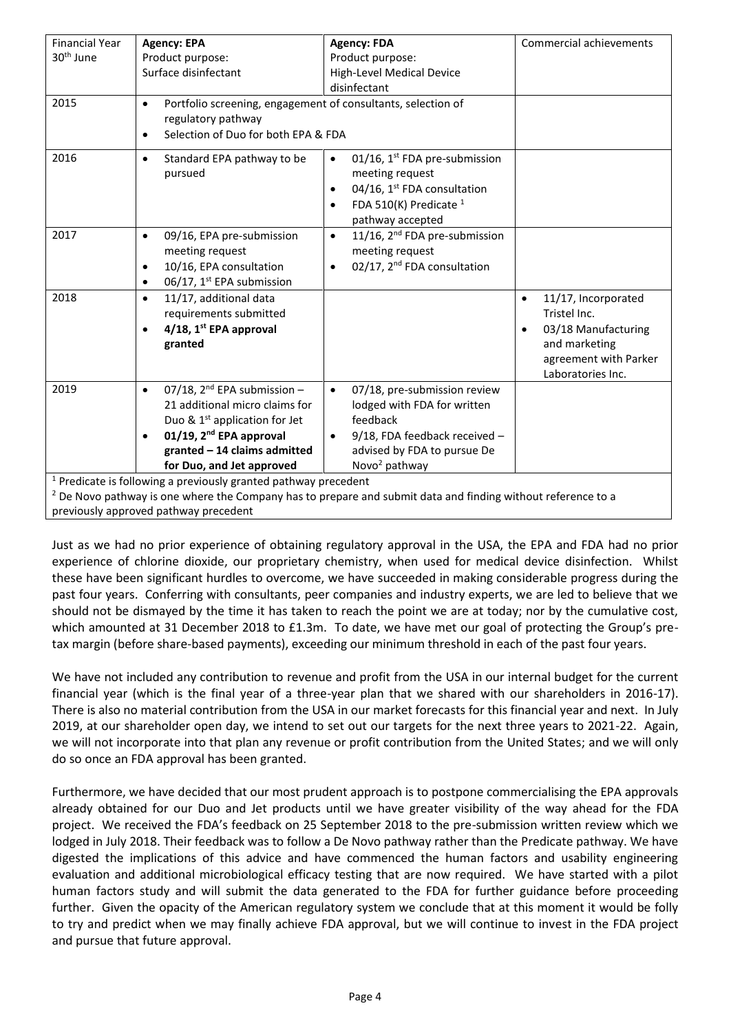| <b>Financial Year</b> | <b>Agency: EPA</b>                                                         | <b>Agency: FDA</b>                                                                                             | Commercial achievements          |
|-----------------------|----------------------------------------------------------------------------|----------------------------------------------------------------------------------------------------------------|----------------------------------|
| 30 <sup>th</sup> June | Product purpose:                                                           | Product purpose:                                                                                               |                                  |
|                       | Surface disinfectant                                                       | High-Level Medical Device                                                                                      |                                  |
|                       |                                                                            | disinfectant                                                                                                   |                                  |
| 2015                  | Portfolio screening, engagement of consultants, selection of<br>$\bullet$  |                                                                                                                |                                  |
|                       | regulatory pathway                                                         |                                                                                                                |                                  |
|                       | Selection of Duo for both EPA & FDA                                        |                                                                                                                |                                  |
|                       | $\bullet$                                                                  |                                                                                                                |                                  |
| 2016                  | Standard EPA pathway to be<br>$\bullet$                                    | 01/16, 1 <sup>st</sup> FDA pre-submission<br>$\bullet$                                                         |                                  |
|                       | pursued                                                                    | meeting request                                                                                                |                                  |
|                       |                                                                            | 04/16, 1 <sup>st</sup> FDA consultation<br>$\bullet$                                                           |                                  |
|                       |                                                                            | FDA 510(K) Predicate $1$<br>$\bullet$                                                                          |                                  |
|                       |                                                                            | pathway accepted                                                                                               |                                  |
| 2017                  | 09/16, EPA pre-submission<br>$\bullet$                                     | 11/16, 2 <sup>nd</sup> FDA pre-submission<br>$\bullet$                                                         |                                  |
|                       | meeting request                                                            | meeting request                                                                                                |                                  |
|                       | 10/16, EPA consultation<br>$\bullet$                                       | 02/17, 2 <sup>nd</sup> FDA consultation<br>$\bullet$                                                           |                                  |
|                       | 06/17, 1 <sup>st</sup> EPA submission                                      |                                                                                                                |                                  |
|                       | $\bullet$                                                                  |                                                                                                                |                                  |
| 2018                  | 11/17, additional data<br>$\bullet$                                        |                                                                                                                | 11/17, Incorporated<br>$\bullet$ |
|                       | requirements submitted                                                     |                                                                                                                | Tristel Inc.                     |
|                       | $4/18$ , 1st EPA approval<br>$\bullet$                                     |                                                                                                                | 03/18 Manufacturing              |
|                       | granted                                                                    |                                                                                                                | and marketing                    |
|                       |                                                                            |                                                                                                                | agreement with Parker            |
|                       |                                                                            |                                                                                                                | Laboratories Inc.                |
| 2019                  | 07/18, $2^{nd}$ EPA submission -<br>$\bullet$                              | 07/18, pre-submission review<br>$\bullet$                                                                      |                                  |
|                       | 21 additional micro claims for                                             | lodged with FDA for written                                                                                    |                                  |
|                       | Duo & $1st$ application for Jet                                            | feedback                                                                                                       |                                  |
|                       | 01/19, $2^{nd}$ EPA approval<br>$\bullet$                                  | 9/18, FDA feedback received -<br>$\bullet$                                                                     |                                  |
|                       | granted - 14 claims admitted                                               | advised by FDA to pursue De                                                                                    |                                  |
|                       | for Duo, and Jet approved                                                  | Novo <sup>2</sup> pathway                                                                                      |                                  |
|                       | <sup>1</sup> Predicate is following a previously granted pathway precedent |                                                                                                                |                                  |
|                       |                                                                            | $2$ De Novo pathway is one where the Company has to prepare and submit data and finding without reference to a |                                  |

previously approved pathway precedent

Just as we had no prior experience of obtaining regulatory approval in the USA, the EPA and FDA had no prior experience of chlorine dioxide, our proprietary chemistry, when used for medical device disinfection. Whilst these have been significant hurdles to overcome, we have succeeded in making considerable progress during the past four years. Conferring with consultants, peer companies and industry experts, we are led to believe that we should not be dismayed by the time it has taken to reach the point we are at today; nor by the cumulative cost, which amounted at 31 December 2018 to £1.3m. To date, we have met our goal of protecting the Group's pretax margin (before share-based payments), exceeding our minimum threshold in each of the past four years.

We have not included any contribution to revenue and profit from the USA in our internal budget for the current financial year (which is the final year of a three-year plan that we shared with our shareholders in 2016-17). There is also no material contribution from the USA in our market forecasts for this financial year and next. In July 2019, at our shareholder open day, we intend to set out our targets for the next three years to 2021-22. Again, we will not incorporate into that plan any revenue or profit contribution from the United States; and we will only do so once an FDA approval has been granted.

Furthermore, we have decided that our most prudent approach is to postpone commercialising the EPA approvals already obtained for our Duo and Jet products until we have greater visibility of the way ahead for the FDA project. We received the FDA's feedback on 25 September 2018 to the pre-submission written review which we lodged in July 2018. Their feedback was to follow a De Novo pathway rather than the Predicate pathway. We have digested the implications of this advice and have commenced the human factors and usability engineering evaluation and additional microbiological efficacy testing that are now required. We have started with a pilot human factors study and will submit the data generated to the FDA for further guidance before proceeding further. Given the opacity of the American regulatory system we conclude that at this moment it would be folly to try and predict when we may finally achieve FDA approval, but we will continue to invest in the FDA project and pursue that future approval.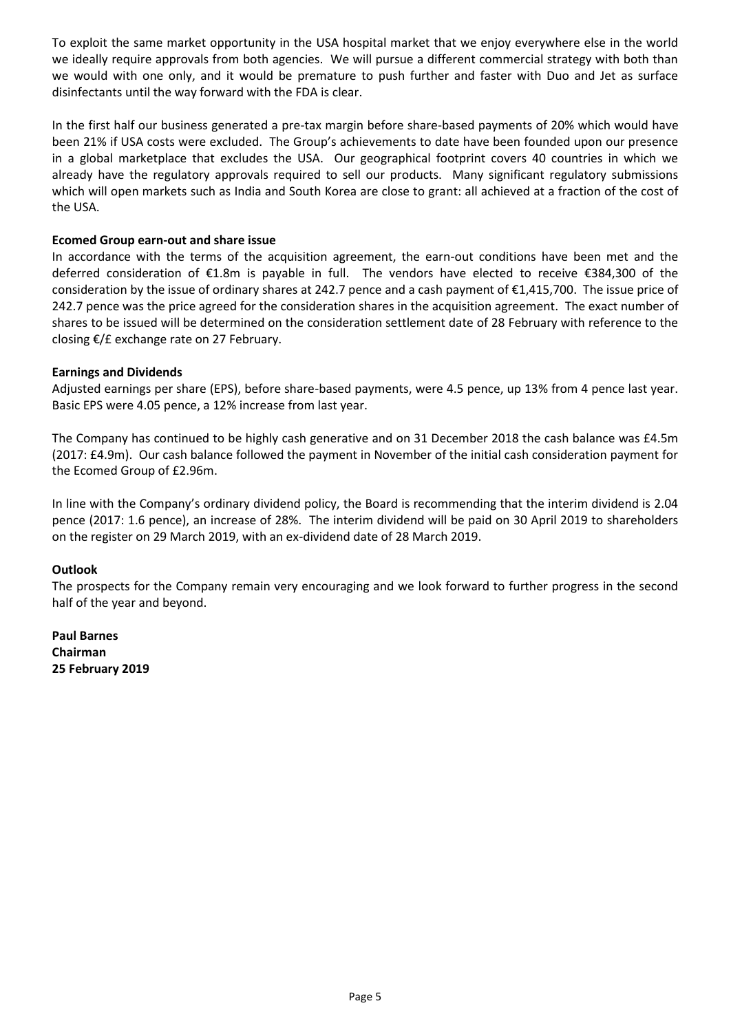To exploit the same market opportunity in the USA hospital market that we enjoy everywhere else in the world we ideally require approvals from both agencies. We will pursue a different commercial strategy with both than we would with one only, and it would be premature to push further and faster with Duo and Jet as surface disinfectants until the way forward with the FDA is clear.

In the first half our business generated a pre-tax margin before share-based payments of 20% which would have been 21% if USA costs were excluded. The Group's achievements to date have been founded upon our presence in a global marketplace that excludes the USA. Our geographical footprint covers 40 countries in which we already have the regulatory approvals required to sell our products. Many significant regulatory submissions which will open markets such as India and South Korea are close to grant: all achieved at a fraction of the cost of the USA.

# **Ecomed Group earn-out and share issue**

In accordance with the terms of the acquisition agreement, the earn-out conditions have been met and the deferred consideration of €1.8m is payable in full. The vendors have elected to receive €384,300 of the consideration by the issue of ordinary shares at 242.7 pence and a cash payment of €1,415,700. The issue price of 242.7 pence was the price agreed for the consideration shares in the acquisition agreement. The exact number of shares to be issued will be determined on the consideration settlement date of 28 February with reference to the closing €/£ exchange rate on 27 February.

# **Earnings and Dividends**

Adjusted earnings per share (EPS), before share-based payments, were 4.5 pence, up 13% from 4 pence last year. Basic EPS were 4.05 pence, a 12% increase from last year.

The Company has continued to be highly cash generative and on 31 December 2018 the cash balance was £4.5m (2017: £4.9m). Our cash balance followed the payment in November of the initial cash consideration payment for the Ecomed Group of £2.96m.

In line with the Company's ordinary dividend policy, the Board is recommending that the interim dividend is 2.04 pence (2017: 1.6 pence), an increase of 28%. The interim dividend will be paid on 30 April 2019 to shareholders on the register on 29 March 2019, with an ex-dividend date of 28 March 2019.

## **Outlook**

The prospects for the Company remain very encouraging and we look forward to further progress in the second half of the year and beyond.

**Paul Barnes Chairman 25 February 2019**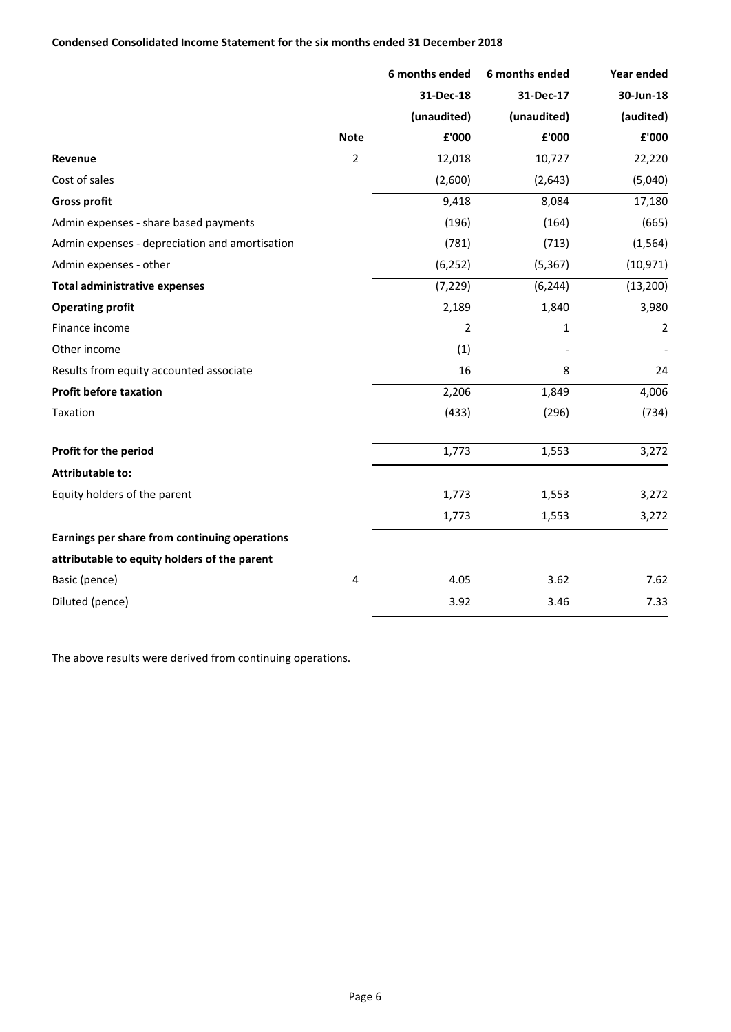|                                                |                | 6 months ended | 6 months ended | Year ended     |
|------------------------------------------------|----------------|----------------|----------------|----------------|
|                                                |                | 31-Dec-18      | 31-Dec-17      | 30-Jun-18      |
|                                                |                | (unaudited)    | (unaudited)    | (audited)      |
|                                                | <b>Note</b>    | £'000          | £'000          | £'000          |
| Revenue                                        | $\overline{2}$ | 12,018         | 10,727         | 22,220         |
| Cost of sales                                  |                | (2,600)        | (2,643)        | (5,040)        |
| <b>Gross profit</b>                            |                | 9,418          | 8,084          | 17,180         |
| Admin expenses - share based payments          |                | (196)          | (164)          | (665)          |
| Admin expenses - depreciation and amortisation |                | (781)          | (713)          | (1, 564)       |
| Admin expenses - other                         |                | (6, 252)       | (5, 367)       | (10, 971)      |
| <b>Total administrative expenses</b>           |                | (7, 229)       | (6, 244)       | (13, 200)      |
| <b>Operating profit</b>                        |                | 2,189          | 1,840          | 3,980          |
| Finance income                                 |                | $\overline{2}$ | 1              | $\overline{2}$ |
| Other income                                   |                | (1)            |                |                |
| Results from equity accounted associate        |                | 16             | 8              | 24             |
| <b>Profit before taxation</b>                  |                | 2,206          | 1,849          | 4,006          |
| Taxation                                       |                | (433)          | (296)          | (734)          |
| Profit for the period                          |                | 1,773          | 1,553          | 3,272          |
| <b>Attributable to:</b>                        |                |                |                |                |
| Equity holders of the parent                   |                | 1,773          | 1,553          | 3,272          |
|                                                |                | 1,773          | 1,553          | 3,272          |
| Earnings per share from continuing operations  |                |                |                |                |
| attributable to equity holders of the parent   |                |                |                |                |
| Basic (pence)                                  | $\overline{4}$ | 4.05           | 3.62           | 7.62           |
| Diluted (pence)                                |                | 3.92           | 3.46           | 7.33           |

The above results were derived from continuing operations.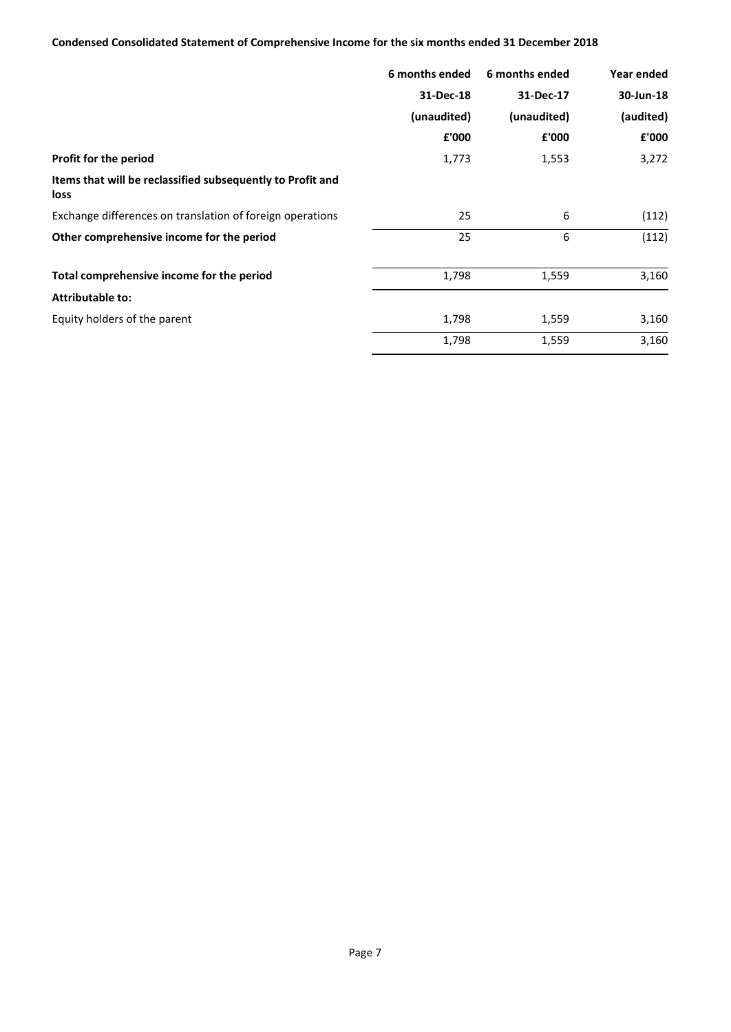# **Condensed Consolidated Statement of Comprehensive Income for the six months ended 31 December 2018**

|                                                                    | 6 months ended | 6 months ended | Year ended |
|--------------------------------------------------------------------|----------------|----------------|------------|
|                                                                    | 31-Dec-18      | 31-Dec-17      | 30-Jun-18  |
|                                                                    | (unaudited)    | (unaudited)    | (audited)  |
|                                                                    | £'000          | £'000          | £'000      |
| Profit for the period                                              | 1,773          | 1,553          | 3,272      |
| Items that will be reclassified subsequently to Profit and<br>loss |                |                |            |
| Exchange differences on translation of foreign operations          | 25             | 6              | (112)      |
| Other comprehensive income for the period                          | 25             | 6              | (112)      |
| Total comprehensive income for the period                          | 1,798          | 1,559          | 3,160      |
| <b>Attributable to:</b>                                            |                |                |            |
| Equity holders of the parent                                       | 1,798          | 1,559          | 3,160      |
|                                                                    | 1,798          | 1,559          | 3,160      |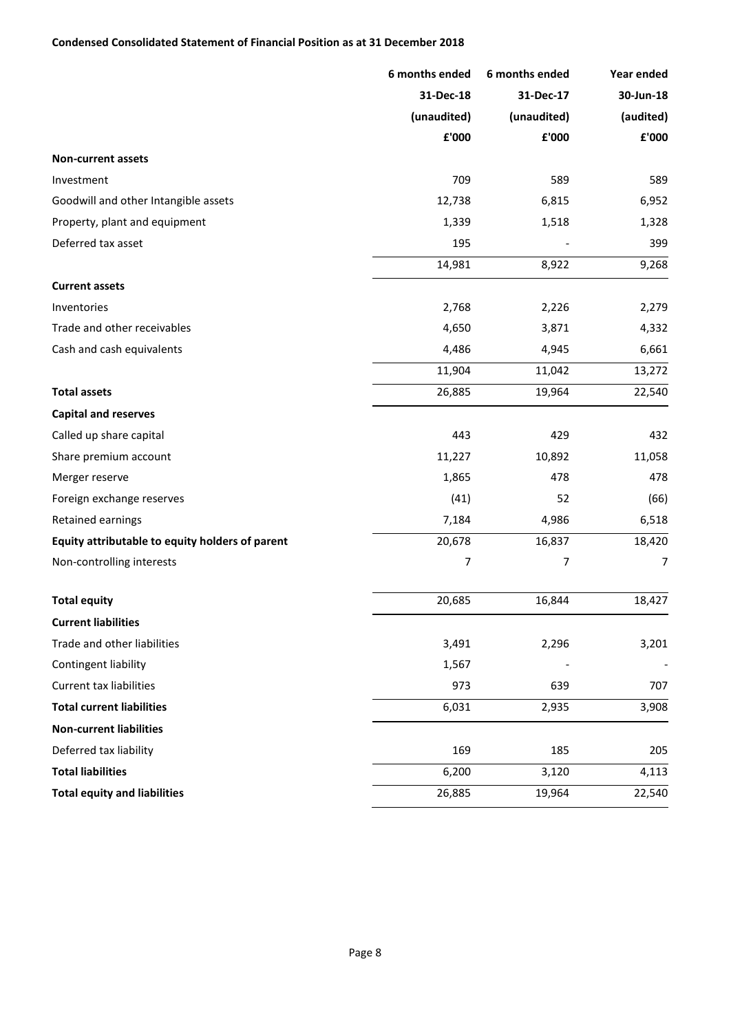## **Condensed Consolidated Statement of Financial Position as at 31 December 2018**

|                                                 | 6 months ended | 6 months ended | Year ended     |
|-------------------------------------------------|----------------|----------------|----------------|
|                                                 | 31-Dec-18      | 31-Dec-17      | 30-Jun-18      |
|                                                 | (unaudited)    | (unaudited)    | (audited)      |
|                                                 | £'000          | ${\bf f}$ '000 | ${\bf f}$ '000 |
| <b>Non-current assets</b>                       |                |                |                |
| Investment                                      | 709            | 589            | 589            |
| Goodwill and other Intangible assets            | 12,738         | 6,815          | 6,952          |
| Property, plant and equipment                   | 1,339          | 1,518          | 1,328          |
| Deferred tax asset                              | 195            |                | 399            |
|                                                 | 14,981         | 8,922          | 9,268          |
| <b>Current assets</b>                           |                |                |                |
| Inventories                                     | 2,768          | 2,226          | 2,279          |
| Trade and other receivables                     | 4,650          | 3,871          | 4,332          |
| Cash and cash equivalents                       | 4,486          | 4,945          | 6,661          |
|                                                 | 11,904         | 11,042         | 13,272         |
| <b>Total assets</b>                             | 26,885         | 19,964         | 22,540         |
| <b>Capital and reserves</b>                     |                |                |                |
| Called up share capital                         | 443            | 429            | 432            |
| Share premium account                           | 11,227         | 10,892         | 11,058         |
| Merger reserve                                  | 1,865          | 478            | 478            |
| Foreign exchange reserves                       | (41)           | 52             | (66)           |
| Retained earnings                               | 7,184          | 4,986          | 6,518          |
| Equity attributable to equity holders of parent | 20,678         | 16,837         | 18,420         |
| Non-controlling interests                       | 7              | 7              | 7              |
| <b>Total equity</b>                             | 20,685         | 16,844         | 18,427         |
| <b>Current liabilities</b>                      |                |                |                |
| Trade and other liabilities                     | 3,491          | 2,296          | 3,201          |
| Contingent liability                            | 1,567          |                |                |
| Current tax liabilities                         | 973            | 639            | 707            |
| <b>Total current liabilities</b>                | 6,031          | 2,935          | 3,908          |
| <b>Non-current liabilities</b>                  |                |                |                |
| Deferred tax liability                          | 169            | 185            | 205            |
| <b>Total liabilities</b>                        | 6,200          | 3,120          | 4,113          |
| <b>Total equity and liabilities</b>             | 26,885         | 19,964         | 22,540         |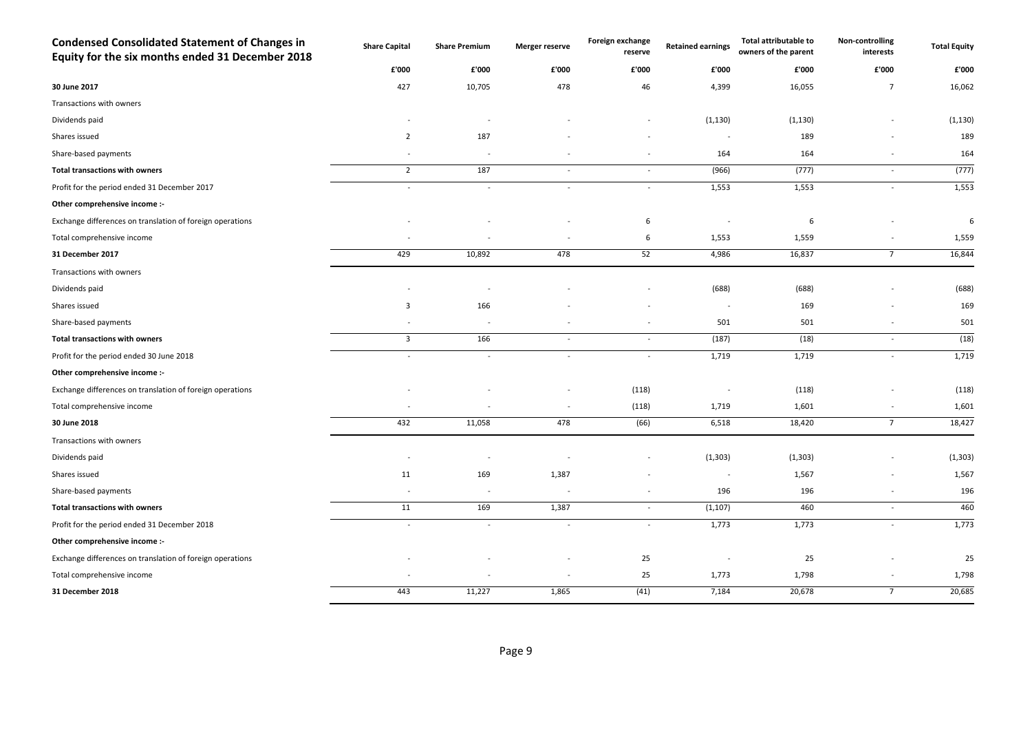| <b>Condensed Consolidated Statement of Changes in</b><br>Equity for the six months ended 31 December 2018 | <b>Share Capital</b>     | <b>Share Premium</b>     | Merger reserve | Foreign exchange<br>reserve | <b>Retained earnings</b> | <b>Total attributable to</b><br>owners of the parent | Non-controlling<br>interests | <b>Total Equity</b> |
|-----------------------------------------------------------------------------------------------------------|--------------------------|--------------------------|----------------|-----------------------------|--------------------------|------------------------------------------------------|------------------------------|---------------------|
|                                                                                                           | £'000                    | £'000                    | £'000          | £'000                       | £'000                    | £'000                                                | £'000                        | £'000               |
| 30 June 2017                                                                                              | 427                      | 10,705                   | 478            | 46                          | 4,399                    | 16,055                                               | $\overline{7}$               | 16,062              |
| Transactions with owners                                                                                  |                          |                          |                |                             |                          |                                                      |                              |                     |
| Dividends paid                                                                                            |                          |                          |                |                             | (1, 130)                 | (1, 130)                                             |                              | (1, 130)            |
| Shares issued                                                                                             | $\overline{2}$           | 187                      |                |                             | $\overline{\phantom{a}}$ | 189                                                  |                              | 189                 |
| Share-based payments                                                                                      |                          | $\sim$                   |                |                             | 164                      | 164                                                  |                              | 164                 |
| <b>Total transactions with owners</b>                                                                     | $\overline{2}$           | 187                      | $\sim$         | $\sim$                      | (966)                    | (777)                                                | $\overline{\phantom{a}}$     | (777)               |
| Profit for the period ended 31 December 2017                                                              | $\overline{\phantom{a}}$ | $\sim$                   | $\sim$         | $\sim$                      | 1,553                    | 1,553                                                | $\overline{\phantom{a}}$     | 1,553               |
| Other comprehensive income :-                                                                             |                          |                          |                |                             |                          |                                                      |                              |                     |
| Exchange differences on translation of foreign operations                                                 |                          |                          |                | 6                           |                          | 6                                                    |                              | 6                   |
| Total comprehensive income                                                                                |                          |                          |                | 6                           | 1,553                    | 1,559                                                |                              | 1,559               |
| 31 December 2017                                                                                          | 429                      | 10,892                   | 478            | 52                          | 4,986                    | 16,837                                               | $7\overline{ }$              | 16,844              |
| Transactions with owners                                                                                  |                          |                          |                |                             |                          |                                                      |                              |                     |
| Dividends paid                                                                                            |                          |                          |                |                             | (688)                    | (688)                                                |                              | (688)               |
| Shares issued                                                                                             | $\overline{3}$           | 166                      |                |                             | $\overline{\phantom{a}}$ | 169                                                  |                              | 169                 |
| Share-based payments                                                                                      |                          | $\overline{\phantom{a}}$ |                | $\overline{\phantom{a}}$    | 501                      | 501                                                  | $\overline{a}$               | 501                 |
| <b>Total transactions with owners</b>                                                                     | $\mathbf{3}$             | 166                      | $\sim$         | $\sim$                      | (187)                    | (18)                                                 | $\overline{\phantom{a}}$     | (18)                |
| Profit for the period ended 30 June 2018                                                                  | $\overline{\phantom{a}}$ | $\sim$                   | $\sim$         | $\sim$                      | 1,719                    | 1,719                                                | $\overline{a}$               | 1,719               |
| Other comprehensive income :-                                                                             |                          |                          |                |                             |                          |                                                      |                              |                     |
| Exchange differences on translation of foreign operations                                                 |                          |                          |                | (118)                       |                          | (118)                                                |                              | (118)               |
| Total comprehensive income                                                                                |                          |                          |                | (118)                       | 1,719                    | 1,601                                                |                              | 1,601               |
| 30 June 2018                                                                                              | 432                      | 11,058                   | 478            | (66)                        | 6,518                    | 18,420                                               | $7\overline{ }$              | 18,427              |
| Transactions with owners                                                                                  |                          |                          |                |                             |                          |                                                      |                              |                     |
| Dividends paid                                                                                            |                          |                          |                |                             | (1, 303)                 | (1, 303)                                             |                              | (1, 303)            |
| Shares issued                                                                                             | 11                       | 169                      | 1,387          |                             | . —                      | 1,567                                                |                              | 1,567               |
| Share-based payments                                                                                      |                          | $\overline{\phantom{a}}$ |                | $\overline{\phantom{a}}$    | 196                      | 196                                                  | $\overline{\phantom{a}}$     | 196                 |
| <b>Total transactions with owners</b>                                                                     | 11                       | 169                      | 1,387          | $\sim$                      | (1, 107)                 | 460                                                  | $\overline{\phantom{a}}$     | 460                 |
| Profit for the period ended 31 December 2018                                                              | $\overline{\phantom{a}}$ | $\sim$                   | $\sim$         | $\sim$                      | 1,773                    | 1,773                                                | $\overline{\phantom{a}}$     | 1,773               |
| Other comprehensive income :-                                                                             |                          |                          |                |                             |                          |                                                      |                              |                     |
| Exchange differences on translation of foreign operations                                                 |                          |                          |                | 25                          |                          | 25                                                   |                              | 25                  |
| Total comprehensive income                                                                                |                          |                          |                | 25                          | 1,773                    | 1,798                                                |                              | 1,798               |
| 31 December 2018                                                                                          | 443                      | 11,227                   | 1,865          | (41)                        | 7,184                    | 20,678                                               | $7\overline{ }$              | 20,685              |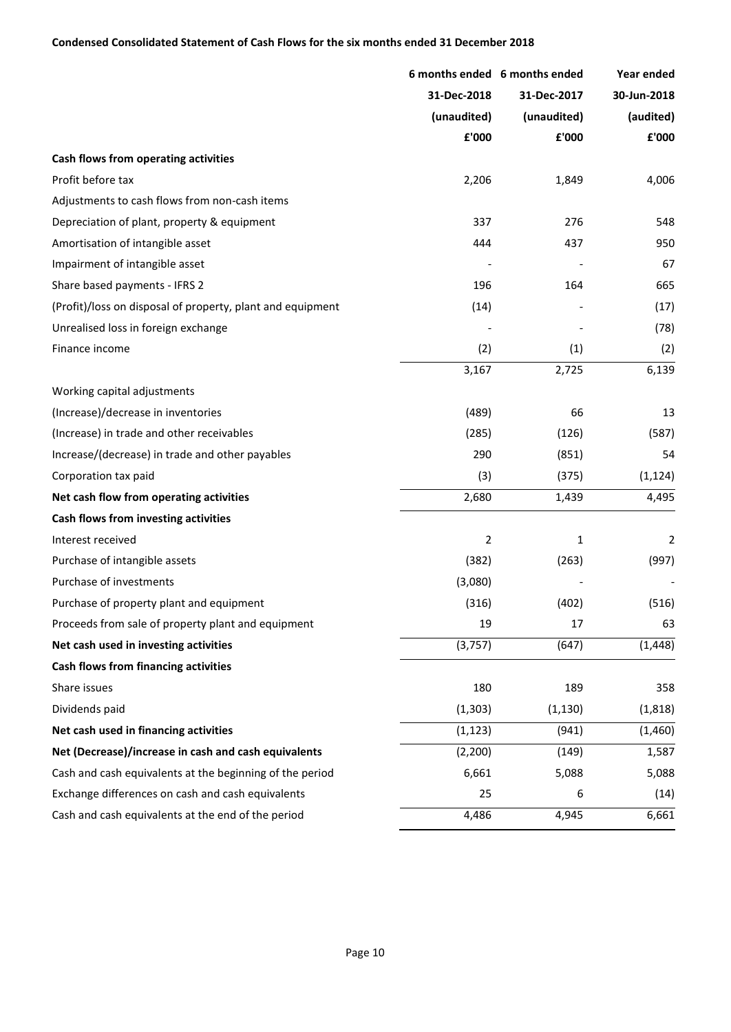## **Condensed Consolidated Statement of Cash Flows for the six months ended 31 December 2018**

|                                                            |                | 6 months ended 6 months ended | Year ended  |
|------------------------------------------------------------|----------------|-------------------------------|-------------|
|                                                            | 31-Dec-2018    | 31-Dec-2017                   | 30-Jun-2018 |
|                                                            | (unaudited)    | (unaudited)                   | (audited)   |
|                                                            | £'000          | £'000                         | £'000       |
| Cash flows from operating activities                       |                |                               |             |
| Profit before tax                                          | 2,206          | 1,849                         | 4,006       |
| Adjustments to cash flows from non-cash items              |                |                               |             |
| Depreciation of plant, property & equipment                | 337            | 276                           | 548         |
| Amortisation of intangible asset                           | 444            | 437                           | 950         |
| Impairment of intangible asset                             |                |                               | 67          |
| Share based payments - IFRS 2                              | 196            | 164                           | 665         |
| (Profit)/loss on disposal of property, plant and equipment | (14)           |                               | (17)        |
| Unrealised loss in foreign exchange                        |                |                               | (78)        |
| Finance income                                             | (2)            | (1)                           | (2)         |
|                                                            | 3,167          | 2,725                         | 6,139       |
| Working capital adjustments                                |                |                               |             |
| (Increase)/decrease in inventories                         | (489)          | 66                            | 13          |
| (Increase) in trade and other receivables                  | (285)          | (126)                         | (587)       |
| Increase/(decrease) in trade and other payables            | 290            | (851)                         | 54          |
| Corporation tax paid                                       | (3)            | (375)                         | (1, 124)    |
| Net cash flow from operating activities                    | 2,680          | 1,439                         | 4,495       |
| Cash flows from investing activities                       |                |                               |             |
| Interest received                                          | $\overline{2}$ | 1                             | 2           |
| Purchase of intangible assets                              | (382)          | (263)                         | (997)       |
| Purchase of investments                                    | (3,080)        |                               |             |
| Purchase of property plant and equipment                   | (316)          | (402)                         | (516)       |
| Proceeds from sale of property plant and equipment         | 19             | 17                            | 63          |
| Net cash used in investing activities                      | (3,757)        | (647)                         | (1, 448)    |
| Cash flows from financing activities                       |                |                               |             |
| Share issues                                               | 180            | 189                           | 358         |
| Dividends paid                                             | (1, 303)       | (1, 130)                      | (1,818)     |
| Net cash used in financing activities                      | (1, 123)       | (941)                         | (1,460)     |
| Net (Decrease)/increase in cash and cash equivalents       | (2, 200)       | (149)                         | 1,587       |
| Cash and cash equivalents at the beginning of the period   | 6,661          | 5,088                         | 5,088       |
| Exchange differences on cash and cash equivalents          | 25             | 6                             | (14)        |
| Cash and cash equivalents at the end of the period         | 4,486          | 4,945                         | 6,661       |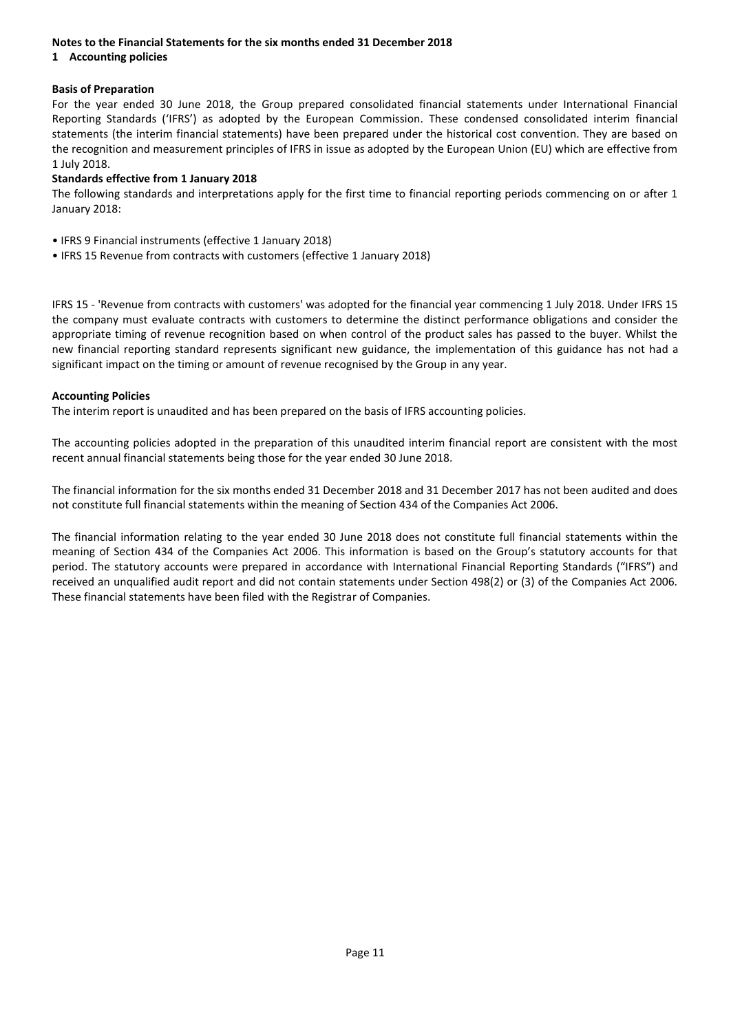## **Notes to the Financial Statements for the six months ended 31 December 2018**

## **1 Accounting policies**

## **Basis of Preparation**

For the year ended 30 June 2018, the Group prepared consolidated financial statements under International Financial Reporting Standards ('IFRS') as adopted by the European Commission. These condensed consolidated interim financial statements (the interim financial statements) have been prepared under the historical cost convention. They are based on the recognition and measurement principles of IFRS in issue as adopted by the European Union (EU) which are effective from 1 July 2018.

## **Standards effective from 1 January 2018**

The following standards and interpretations apply for the first time to financial reporting periods commencing on or after 1 January 2018:

- IFRS 9 Financial instruments (effective 1 January 2018)
- IFRS 15 Revenue from contracts with customers (effective 1 January 2018)

IFRS 15 - 'Revenue from contracts with customers' was adopted for the financial year commencing 1 July 2018. Under IFRS 15 the company must evaluate contracts with customers to determine the distinct performance obligations and consider the appropriate timing of revenue recognition based on when control of the product sales has passed to the buyer. Whilst the new financial reporting standard represents significant new guidance, the implementation of this guidance has not had a significant impact on the timing or amount of revenue recognised by the Group in any year.

#### **Accounting Policies**

The interim report is unaudited and has been prepared on the basis of IFRS accounting policies.

The accounting policies adopted in the preparation of this unaudited interim financial report are consistent with the most recent annual financial statements being those for the year ended 30 June 2018.

The financial information for the six months ended 31 December 2018 and 31 December 2017 has not been audited and does not constitute full financial statements within the meaning of Section 434 of the Companies Act 2006.

The financial information relating to the year ended 30 June 2018 does not constitute full financial statements within the meaning of Section 434 of the Companies Act 2006. This information is based on the Group's statutory accounts for that period. The statutory accounts were prepared in accordance with International Financial Reporting Standards ("IFRS") and received an unqualified audit report and did not contain statements under Section 498(2) or (3) of the Companies Act 2006. These financial statements have been filed with the Registrar of Companies.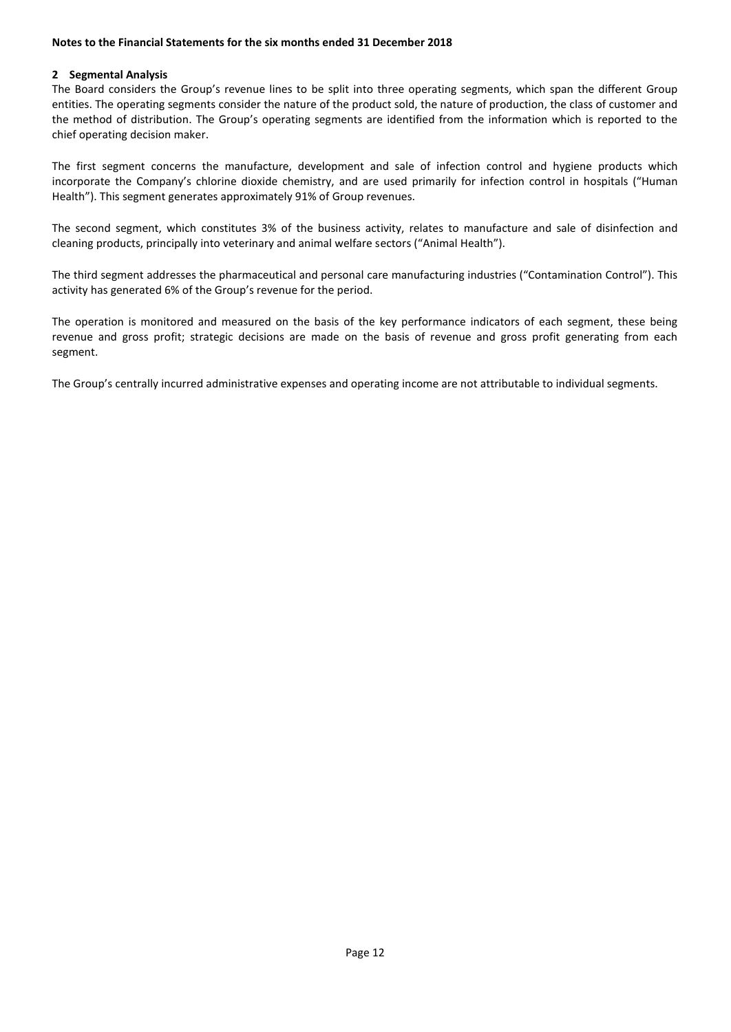#### **Notes to the Financial Statements for the six months ended 31 December 2018**

#### **2 Segmental Analysis**

The Board considers the Group's revenue lines to be split into three operating segments, which span the different Group entities. The operating segments consider the nature of the product sold, the nature of production, the class of customer and the method of distribution. The Group's operating segments are identified from the information which is reported to the chief operating decision maker.

The first segment concerns the manufacture, development and sale of infection control and hygiene products which incorporate the Company's chlorine dioxide chemistry, and are used primarily for infection control in hospitals ("Human Health"). This segment generates approximately 91% of Group revenues.

The second segment, which constitutes 3% of the business activity, relates to manufacture and sale of disinfection and cleaning products, principally into veterinary and animal welfare sectors ("Animal Health").

The third segment addresses the pharmaceutical and personal care manufacturing industries ("Contamination Control"). This activity has generated 6% of the Group's revenue for the period.

The operation is monitored and measured on the basis of the key performance indicators of each segment, these being revenue and gross profit; strategic decisions are made on the basis of revenue and gross profit generating from each segment.

The Group's centrally incurred administrative expenses and operating income are not attributable to individual segments.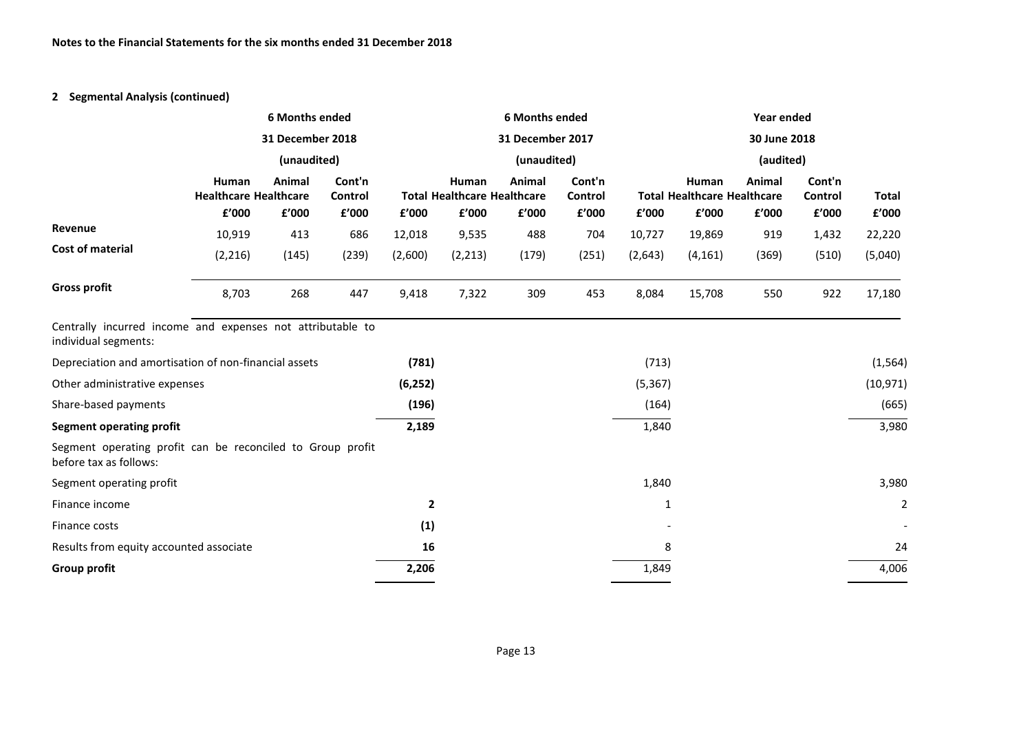# **2 Segmental Analysis (continued)**

|                                                                                      |                                                | <b>6 Months ended</b> |                            |                |                                                      | <b>6 Months ended</b> |                            |              |                                                      | Year ended      |                            |                       |  |
|--------------------------------------------------------------------------------------|------------------------------------------------|-----------------------|----------------------------|----------------|------------------------------------------------------|-----------------------|----------------------------|--------------|------------------------------------------------------|-----------------|----------------------------|-----------------------|--|
|                                                                                      | 31 December 2018                               |                       |                            |                | 31 December 2017                                     |                       |                            |              | 30 June 2018                                         |                 |                            |                       |  |
|                                                                                      |                                                | (unaudited)           |                            |                | (unaudited)                                          |                       |                            |              |                                                      | (audited)       |                            |                       |  |
|                                                                                      | Human<br><b>Healthcare Healthcare</b><br>£'000 | Animal<br>£'000       | Cont'n<br>Control<br>£'000 | £'000          | Human<br><b>Total Healthcare Healthcare</b><br>£'000 | Animal<br>£'000       | Cont'n<br>Control<br>£'000 | £'000        | Human<br><b>Total Healthcare Healthcare</b><br>£'000 | Animal<br>£'000 | Cont'n<br>Control<br>£'000 | <b>Total</b><br>£'000 |  |
| Revenue                                                                              | 10,919                                         | 413                   | 686                        | 12,018         | 9,535                                                | 488                   | 704                        | 10,727       | 19,869                                               | 919             | 1,432                      | 22,220                |  |
| <b>Cost of material</b>                                                              | (2, 216)                                       | (145)                 | (239)                      | (2,600)        | (2, 213)                                             | (179)                 | (251)                      | (2,643)      | (4, 161)                                             | (369)           | (510)                      | (5,040)               |  |
| <b>Gross profit</b>                                                                  | 8,703                                          | 268                   | 447                        | 9,418          | 7,322                                                | 309                   | 453                        | 8,084        | 15,708                                               | 550             | 922                        | 17,180                |  |
| Centrally incurred income and expenses not attributable to<br>individual segments:   |                                                |                       |                            |                |                                                      |                       |                            |              |                                                      |                 |                            |                       |  |
| Depreciation and amortisation of non-financial assets                                |                                                |                       |                            | (781)          |                                                      |                       |                            | (713)        |                                                      |                 |                            | (1, 564)              |  |
| Other administrative expenses                                                        |                                                |                       |                            | (6, 252)       |                                                      |                       |                            | (5, 367)     |                                                      |                 |                            | (10, 971)             |  |
| Share-based payments                                                                 |                                                |                       |                            | (196)          |                                                      |                       |                            | (164)        |                                                      |                 |                            | (665)                 |  |
| <b>Segment operating profit</b>                                                      |                                                |                       |                            | 2,189          |                                                      |                       |                            | 1,840        |                                                      |                 |                            | 3,980                 |  |
| Segment operating profit can be reconciled to Group profit<br>before tax as follows: |                                                |                       |                            |                |                                                      |                       |                            |              |                                                      |                 |                            |                       |  |
| Segment operating profit                                                             |                                                |                       |                            |                |                                                      |                       |                            | 1,840        |                                                      |                 |                            | 3,980                 |  |
| Finance income                                                                       |                                                |                       |                            | $\overline{2}$ |                                                      |                       |                            | $\mathbf{1}$ |                                                      |                 |                            | 2                     |  |
| Finance costs                                                                        |                                                |                       |                            | (1)            |                                                      |                       |                            |              |                                                      |                 |                            |                       |  |
| Results from equity accounted associate                                              |                                                |                       |                            | 16             |                                                      |                       |                            | 8            |                                                      |                 |                            | 24                    |  |
| <b>Group profit</b>                                                                  |                                                |                       |                            | 2,206          |                                                      |                       |                            | 1,849        |                                                      |                 |                            | 4,006                 |  |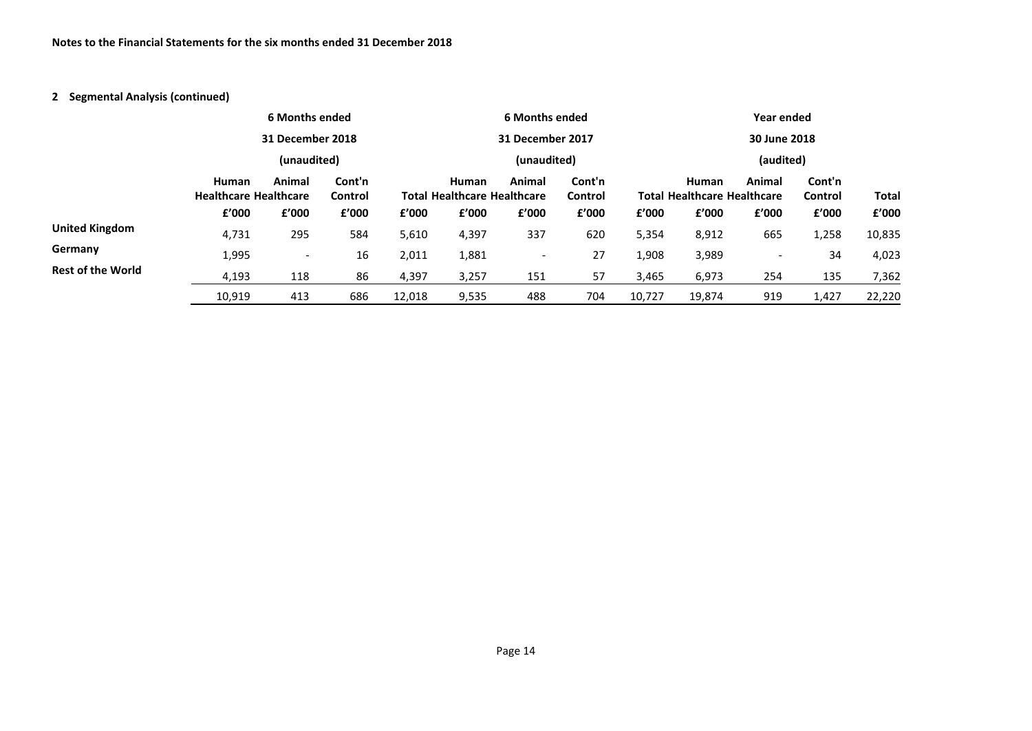# **2 Segmental Analysis (continued)**

|                          |                                              | 6 Months ended           |                   |        |                                             | 6 Months ended           |                   |           |                                                    | Year ended               |                   |              |  |
|--------------------------|----------------------------------------------|--------------------------|-------------------|--------|---------------------------------------------|--------------------------|-------------------|-----------|----------------------------------------------------|--------------------------|-------------------|--------------|--|
|                          |                                              |                          | 31 December 2018  |        |                                             | 31 December 2017         |                   |           |                                                    | 30 June 2018             |                   |              |  |
|                          |                                              | (unaudited)              |                   |        | (unaudited)                                 |                          |                   | (audited) |                                                    |                          |                   |              |  |
|                          | <b>Human</b><br><b>Healthcare Healthcare</b> | Animal                   | Cont'n<br>Control |        | Human<br><b>Total Healthcare Healthcare</b> | Animal                   | Cont'n<br>Control |           | <b>Human</b><br><b>Total Healthcare Healthcare</b> | Animal                   | Cont'n<br>Control | <b>Total</b> |  |
|                          | £'000                                        | f'000                    | £'000             | f'000  | £'000                                       | £'000                    | f'000             | f'000     | £'000                                              | £'000                    | £'000             | £'000        |  |
| <b>United Kingdom</b>    | 4,731                                        | 295                      | 584               | 5,610  | 4,397                                       | 337                      | 620               | 5,354     | 8,912                                              | 665                      | 1,258             | 10,835       |  |
| Germany                  | 1,995                                        | $\overline{\phantom{a}}$ | 16                | 2,011  | 1,881                                       | $\overline{\phantom{a}}$ | 27                | 1,908     | 3,989                                              | $\overline{\phantom{0}}$ | 34                | 4,023        |  |
| <b>Rest of the World</b> | 4,193                                        | 118                      | 86                | 4,397  | 3,257                                       | 151                      | 57                | 3,465     | 6,973                                              | 254                      | 135               | 7,362        |  |
|                          | 10,919                                       | 413                      | 686               | 12,018 | 9,535                                       | 488                      | 704               | 10,727    | 19,874                                             | 919                      | 1,427             | 22,220       |  |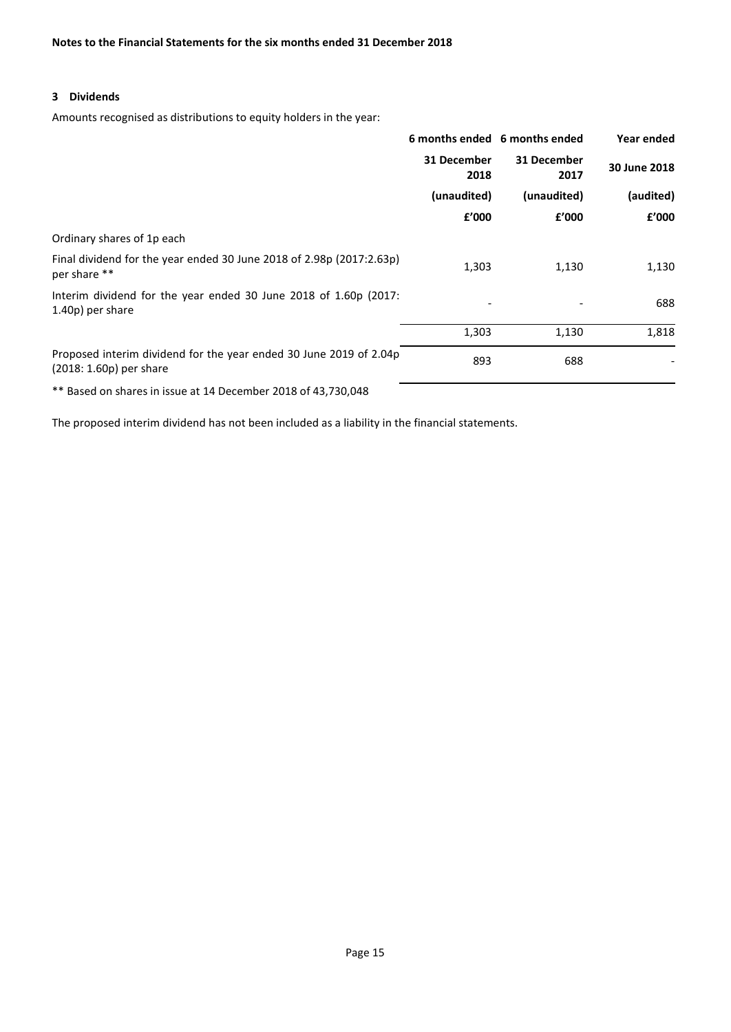#### **3 Dividends**

Amounts recognised as distributions to equity holders in the year:

|                                                                                               |                          | 6 months ended 6 months ended | Year ended   |
|-----------------------------------------------------------------------------------------------|--------------------------|-------------------------------|--------------|
|                                                                                               | 31 December<br>2018      | 31 December<br>2017           | 30 June 2018 |
|                                                                                               | (unaudited)              | (unaudited)                   | (audited)    |
|                                                                                               | £'000                    | £'000                         | £'000        |
| Ordinary shares of 1p each                                                                    |                          |                               |              |
| Final dividend for the year ended 30 June 2018 of 2.98p (2017:2.63p)<br>per share **          | 1,303                    | 1,130                         | 1,130        |
| Interim dividend for the year ended 30 June 2018 of 1.60p (2017:<br>1.40p) per share          | $\overline{\phantom{a}}$ |                               | 688          |
|                                                                                               | 1,303                    | 1,130                         | 1,818        |
| Proposed interim dividend for the year ended 30 June 2019 of 2.04p<br>(2018: 1.60p) per share | 893                      | 688                           |              |

\*\* Based on shares in issue at 14 December 2018 of 43,730,048

The proposed interim dividend has not been included as a liability in the financial statements.